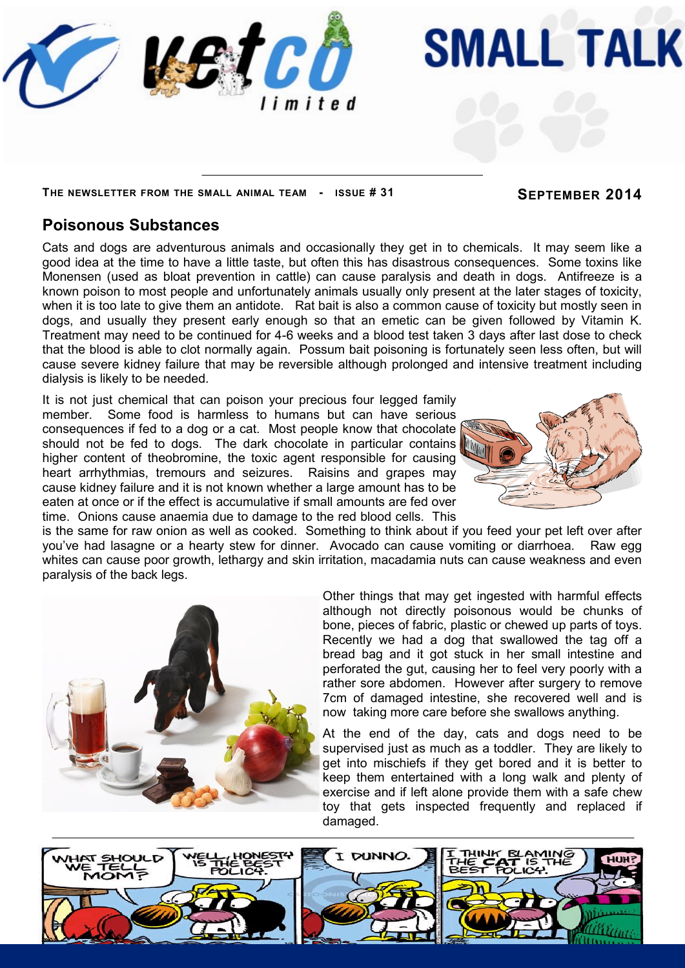

## **THE NEWSLETTER FROM THE SMALL ANIMAL TEAM - ISSUE # 31 SEPTEMBER 2014**

**SMALL TALK** 

## **Poisonous Substances**

Cats and dogs are adventurous animals and occasionally they get in to chemicals. It may seem like a good idea at the time to have a little taste, but often this has disastrous consequences. Some toxins like Monensen (used as bloat prevention in cattle) can cause paralysis and death in dogs. Antifreeze is a known poison to most people and unfortunately animals usually only present at the later stages of toxicity, when it is too late to give them an antidote. Rat bait is also a common cause of toxicity but mostly seen in dogs, and usually they present early enough so that an emetic can be given followed by Vitamin K. Treatment may need to be continued for 4-6 weeks and a blood test taken 3 days after last dose to check that the blood is able to clot normally again. Possum bait poisoning is fortunately seen less often, but will cause severe kidney failure that may be reversible although prolonged and intensive treatment including dialysis is likely to be needed.

It is not just chemical that can poison your precious four legged family member. Some food is harmless to humans but can have serious consequences if fed to a dog or a cat. Most people know that chocolate should not be fed to dogs. The dark chocolate in particular contains higher content of theobromine, the toxic agent responsible for causing heart arrhythmias, tremours and seizures. Raisins and grapes may cause kidney failure and it is not known whether a large amount has to be eaten at once or if the effect is accumulative if small amounts are fed over time. Onions cause anaemia due to damage to the red blood cells. This



is the same for raw onion as well as cooked. Something to think about if you feed your pet left over after you've had lasagne or a hearty stew for dinner. Avocado can cause vomiting or diarrhoea. Raw egg whites can cause poor growth, lethargy and skin irritation, macadamia nuts can cause weakness and even paralysis of the back legs.



Other things that may get ingested with harmful effects although not directly poisonous would be chunks of bone, pieces of fabric, plastic or chewed up parts of toys. Recently we had a dog that swallowed the tag off a bread bag and it got stuck in her small intestine and perforated the gut, causing her to feel very poorly with a rather sore abdomen. However after surgery to remove 7cm of damaged intestine, she recovered well and is now taking more care before she swallows anything.

At the end of the day, cats and dogs need to be supervised just as much as a toddler. They are likely to get into mischiefs if they get bored and it is better to keep them entertained with a long walk and plenty of exercise and if left alone provide them with a safe chew toy that gets inspected frequently and replaced if damaged.